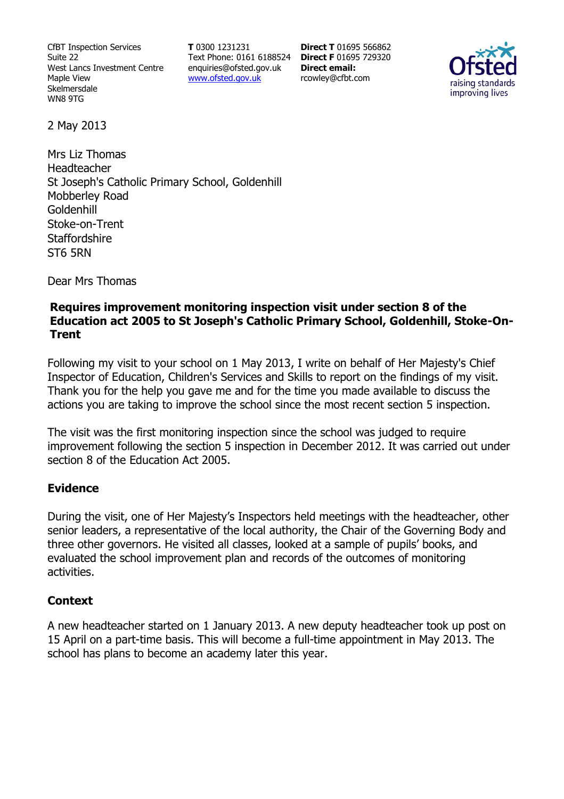CfBT Inspection Services Suite 22 West Lancs Investment Centre Maple View Skelmersdale WN8 9TG

**T** 0300 1231231 Text Phone: 0161 6188524 **Direct F** 01695 729320 enquiries@ofsted.gov.uk www.ofsted.gov.uk

**Direct T** 01695 566862 **Direct email:**  rcowley@cfbt.com



2 May 2013

Mrs Liz Thomas Headteacher St Joseph's Catholic Primary School, Goldenhill Mobberley Road Goldenhill Stoke-on-Trent **Staffordshire** ST6 5RN

Dear Mrs Thomas

### **Requires improvement monitoring inspection visit under section 8 of the Education act 2005 to St Joseph's Catholic Primary School, Goldenhill, Stoke-On-Trent**

Following my visit to your school on 1 May 2013, I write on behalf of Her Majesty's Chief Inspector of Education, Children's Services and Skills to report on the findings of my visit. Thank you for the help you gave me and for the time you made available to discuss the actions you are taking to improve the school since the most recent section 5 inspection.

The visit was the first monitoring inspection since the school was judged to require improvement following the section 5 inspection in December 2012. It was carried out under section 8 of the Education Act 2005.

### **Evidence**

During the visit, one of Her Majesty's Inspectors held meetings with the headteacher, other senior leaders, a representative of the local authority, the Chair of the Governing Body and three other governors. He visited all classes, looked at a sample of pupils' books, and evaluated the school improvement plan and records of the outcomes of monitoring activities.

#### **Context**

A new headteacher started on 1 January 2013. A new deputy headteacher took up post on 15 April on a part-time basis. This will become a full-time appointment in May 2013. The school has plans to become an academy later this year.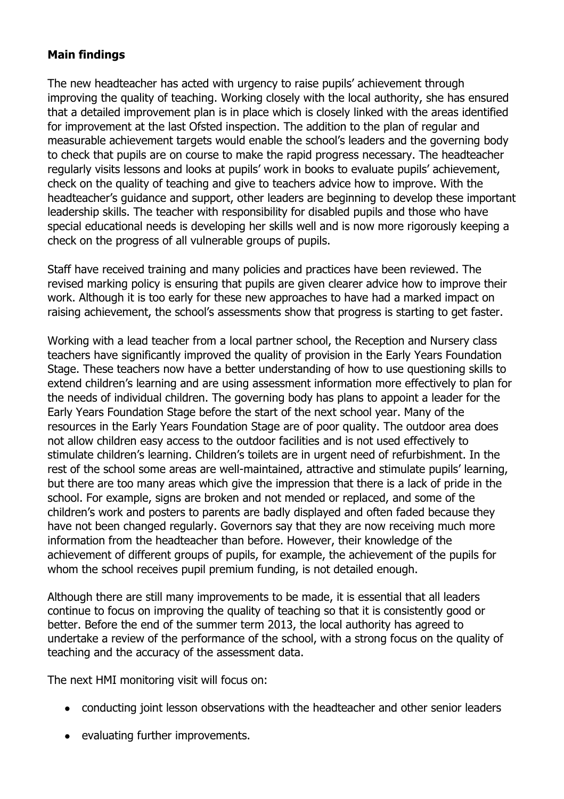# **Main findings**

The new headteacher has acted with urgency to raise pupils' achievement through improving the quality of teaching. Working closely with the local authority, she has ensured that a detailed improvement plan is in place which is closely linked with the areas identified for improvement at the last Ofsted inspection. The addition to the plan of regular and measurable achievement targets would enable the school's leaders and the governing body to check that pupils are on course to make the rapid progress necessary. The headteacher regularly visits lessons and looks at pupils' work in books to evaluate pupils' achievement, check on the quality of teaching and give to teachers advice how to improve. With the headteacher's guidance and support, other leaders are beginning to develop these important leadership skills. The teacher with responsibility for disabled pupils and those who have special educational needs is developing her skills well and is now more rigorously keeping a check on the progress of all vulnerable groups of pupils.

Staff have received training and many policies and practices have been reviewed. The revised marking policy is ensuring that pupils are given clearer advice how to improve their work. Although it is too early for these new approaches to have had a marked impact on raising achievement, the school's assessments show that progress is starting to get faster.

Working with a lead teacher from a local partner school, the Reception and Nursery class teachers have significantly improved the quality of provision in the Early Years Foundation Stage. These teachers now have a better understanding of how to use questioning skills to extend children's learning and are using assessment information more effectively to plan for the needs of individual children. The governing body has plans to appoint a leader for the Early Years Foundation Stage before the start of the next school year. Many of the resources in the Early Years Foundation Stage are of poor quality. The outdoor area does not allow children easy access to the outdoor facilities and is not used effectively to stimulate children's learning. Children's toilets are in urgent need of refurbishment. In the rest of the school some areas are well-maintained, attractive and stimulate pupils' learning, but there are too many areas which give the impression that there is a lack of pride in the school. For example, signs are broken and not mended or replaced, and some of the children's work and posters to parents are badly displayed and often faded because they have not been changed regularly. Governors say that they are now receiving much more information from the headteacher than before. However, their knowledge of the achievement of different groups of pupils, for example, the achievement of the pupils for whom the school receives pupil premium funding, is not detailed enough.

Although there are still many improvements to be made, it is essential that all leaders continue to focus on improving the quality of teaching so that it is consistently good or better. Before the end of the summer term 2013, the local authority has agreed to undertake a review of the performance of the school, with a strong focus on the quality of teaching and the accuracy of the assessment data.

The next HMI monitoring visit will focus on:

- conducting joint lesson observations with the headteacher and other senior leaders
- evaluating further improvements.